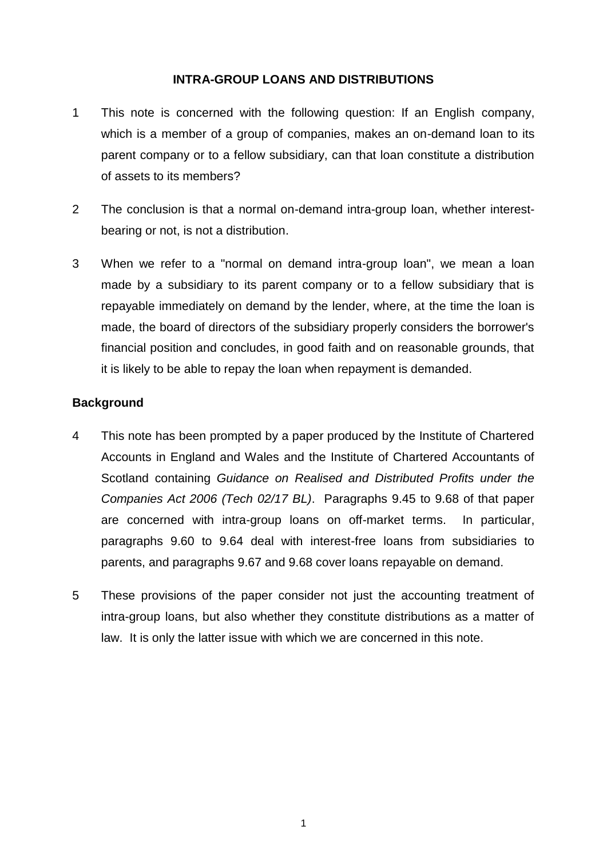# **INTRA-GROUP LOANS AND DISTRIBUTIONS**

- 1 This note is concerned with the following question: If an English company, which is a member of a group of companies, makes an on-demand loan to its parent company or to a fellow subsidiary, can that loan constitute a distribution of assets to its members?
- 2 The conclusion is that a normal on-demand intra-group loan, whether interestbearing or not, is not a distribution.
- 3 When we refer to a "normal on demand intra-group loan", we mean a loan made by a subsidiary to its parent company or to a fellow subsidiary that is repayable immediately on demand by the lender, where, at the time the loan is made, the board of directors of the subsidiary properly considers the borrower's financial position and concludes, in good faith and on reasonable grounds, that it is likely to be able to repay the loan when repayment is demanded.

# **Background**

- 4 This note has been prompted by a paper produced by the Institute of Chartered Accounts in England and Wales and the Institute of Chartered Accountants of Scotland containing *Guidance on Realised and Distributed Profits under the Companies Act 2006 (Tech 02/17 BL)*. Paragraphs 9.45 to 9.68 of that paper are concerned with intra-group loans on off-market terms. In particular, paragraphs 9.60 to 9.64 deal with interest-free loans from subsidiaries to parents, and paragraphs 9.67 and 9.68 cover loans repayable on demand.
- 5 These provisions of the paper consider not just the accounting treatment of intra-group loans, but also whether they constitute distributions as a matter of law. It is only the latter issue with which we are concerned in this note.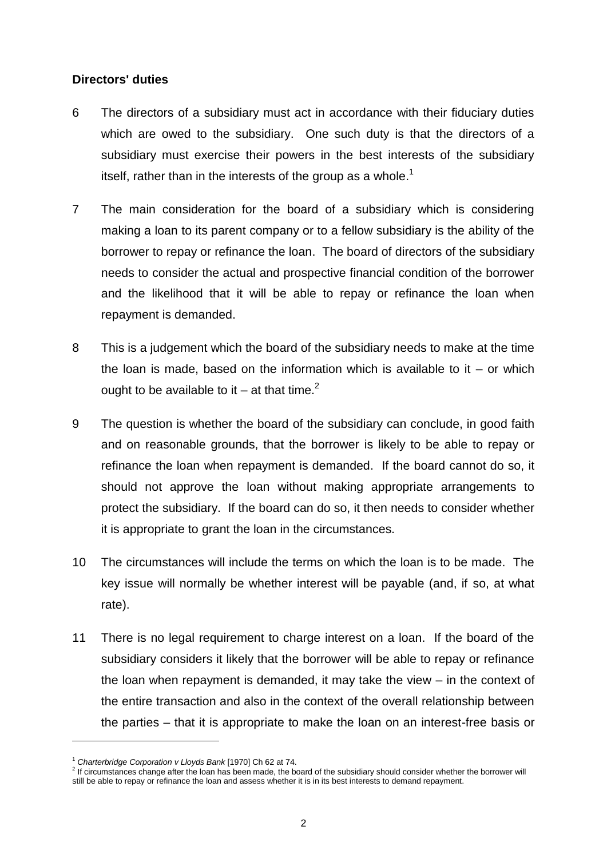### **Directors' duties**

- 6 The directors of a subsidiary must act in accordance with their fiduciary duties which are owed to the subsidiary. One such duty is that the directors of a subsidiary must exercise their powers in the best interests of the subsidiary itself, rather than in the interests of the group as a whole.<sup>1</sup>
- 7 The main consideration for the board of a subsidiary which is considering making a loan to its parent company or to a fellow subsidiary is the ability of the borrower to repay or refinance the loan. The board of directors of the subsidiary needs to consider the actual and prospective financial condition of the borrower and the likelihood that it will be able to repay or refinance the loan when repayment is demanded.
- 8 This is a judgement which the board of the subsidiary needs to make at the time the loan is made, based on the information which is available to it  $-$  or which ought to be available to it – at that time.<sup>2</sup>
- 9 The question is whether the board of the subsidiary can conclude, in good faith and on reasonable grounds, that the borrower is likely to be able to repay or refinance the loan when repayment is demanded. If the board cannot do so, it should not approve the loan without making appropriate arrangements to protect the subsidiary. If the board can do so, it then needs to consider whether it is appropriate to grant the loan in the circumstances.
- 10 The circumstances will include the terms on which the loan is to be made. The key issue will normally be whether interest will be payable (and, if so, at what rate).
- 11 There is no legal requirement to charge interest on a loan. If the board of the subsidiary considers it likely that the borrower will be able to repay or refinance the loan when repayment is demanded, it may take the view – in the context of the entire transaction and also in the context of the overall relationship between the parties – that it is appropriate to make the loan on an interest-free basis or

l

<sup>1</sup> *Charterbridge Corporation v Lloyds Bank* [1970] Ch 62 at 74.

<sup>&</sup>lt;sup>2</sup> If circumstances change after the loan has been made, the board of the subsidiary should consider whether the borrower will still be able to repay or refinance the loan and assess whether it is in its best interests to demand repayment.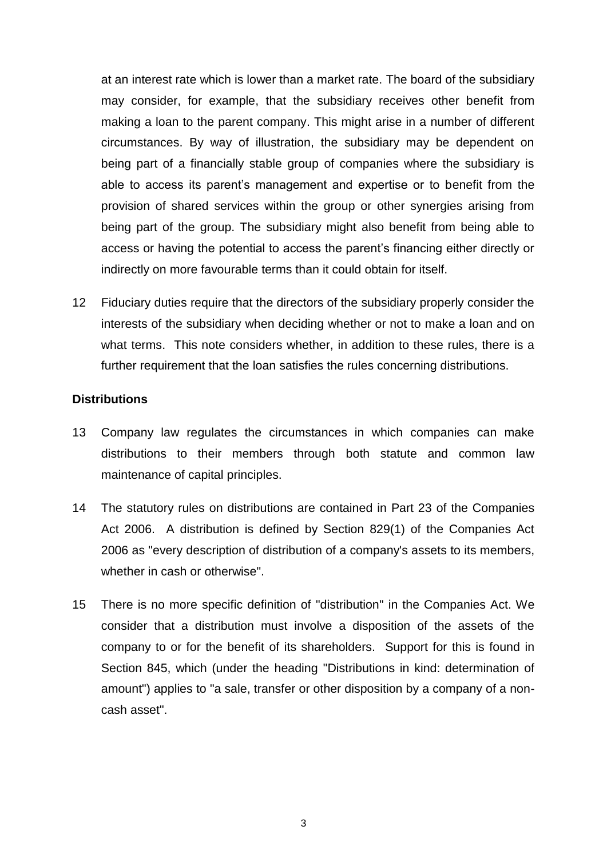at an interest rate which is lower than a market rate. The board of the subsidiary may consider, for example, that the subsidiary receives other benefit from making a loan to the parent company. This might arise in a number of different circumstances. By way of illustration, the subsidiary may be dependent on being part of a financially stable group of companies where the subsidiary is able to access its parent's management and expertise or to benefit from the provision of shared services within the group or other synergies arising from being part of the group. The subsidiary might also benefit from being able to access or having the potential to access the parent's financing either directly or indirectly on more favourable terms than it could obtain for itself.

12 Fiduciary duties require that the directors of the subsidiary properly consider the interests of the subsidiary when deciding whether or not to make a loan and on what terms. This note considers whether, in addition to these rules, there is a further requirement that the loan satisfies the rules concerning distributions.

### **Distributions**

- 13 Company law regulates the circumstances in which companies can make distributions to their members through both statute and common law maintenance of capital principles.
- 14 The statutory rules on distributions are contained in Part 23 of the Companies Act 2006. A distribution is defined by Section 829(1) of the Companies Act 2006 as "every description of distribution of a company's assets to its members, whether in cash or otherwise".
- 15 There is no more specific definition of "distribution" in the Companies Act. We consider that a distribution must involve a disposition of the assets of the company to or for the benefit of its shareholders. Support for this is found in Section 845, which (under the heading "Distributions in kind: determination of amount") applies to "a sale, transfer or other disposition by a company of a noncash asset".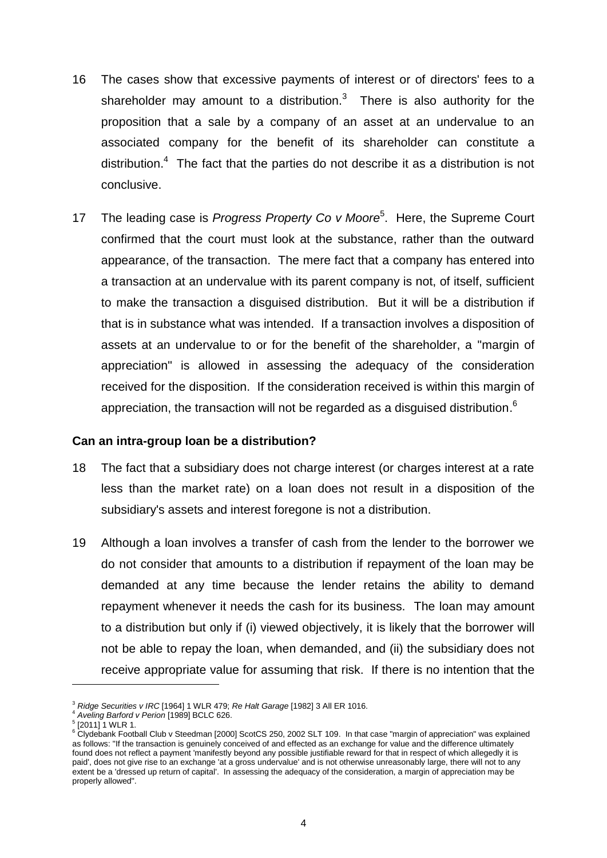- 16 The cases show that excessive payments of interest or of directors' fees to a shareholder may amount to a distribution. $3$  There is also authority for the proposition that a sale by a company of an asset at an undervalue to an associated company for the benefit of its shareholder can constitute a distribution.<sup>4</sup> The fact that the parties do not describe it as a distribution is not conclusive.
- 17 The leading case is *Progress Property Co v Moore*<sup>5</sup> . Here, the Supreme Court confirmed that the court must look at the substance, rather than the outward appearance, of the transaction. The mere fact that a company has entered into a transaction at an undervalue with its parent company is not, of itself, sufficient to make the transaction a disguised distribution. But it will be a distribution if that is in substance what was intended. If a transaction involves a disposition of assets at an undervalue to or for the benefit of the shareholder, a "margin of appreciation" is allowed in assessing the adequacy of the consideration received for the disposition. If the consideration received is within this margin of appreciation, the transaction will not be regarded as a disguised distribution. $^6$

#### **Can an intra-group loan be a distribution?**

- 18 The fact that a subsidiary does not charge interest (or charges interest at a rate less than the market rate) on a loan does not result in a disposition of the subsidiary's assets and interest foregone is not a distribution.
- 19 Although a loan involves a transfer of cash from the lender to the borrower we do not consider that amounts to a distribution if repayment of the loan may be demanded at any time because the lender retains the ability to demand repayment whenever it needs the cash for its business. The loan may amount to a distribution but only if (i) viewed objectively, it is likely that the borrower will not be able to repay the loan, when demanded, and (ii) the subsidiary does not receive appropriate value for assuming that risk. If there is no intention that the

l

<sup>3</sup> *Ridge Securities v IRC* [1964] 1 WLR 479; *Re Halt Garage* [1982] 3 All ER 1016.

<sup>4</sup> *Aveling Barford v Perion* [1989] BCLC 626.

 $5$  [2011] 1 WLR 1.

<sup>&</sup>lt;sup>6</sup> Clydebank Football Club v Steedman [2000] ScotCS 250, 2002 SLT 109. In that case "margin of appreciation" was explained as follows: "If the transaction is genuinely conceived of and effected as an exchange for value and the difference ultimately found does not reflect a payment 'manifestly beyond any possible justifiable reward for that in respect of which allegedly it is paid', does not give rise to an exchange 'at a gross undervalue' and is not otherwise unreasonably large, there will not to any extent be a 'dressed up return of capital'. In assessing the adequacy of the consideration, a margin of appreciation may be properly allowed".